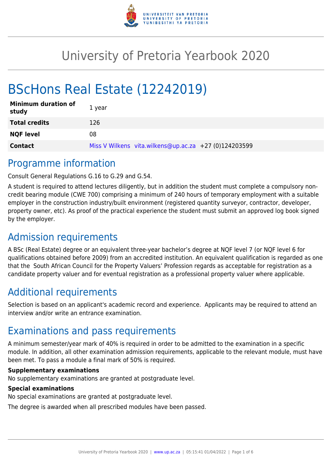

# University of Pretoria Yearbook 2020

# BScHons Real Estate (12242019)

| <b>Minimum duration of</b><br>study | 1 year                                                |
|-------------------------------------|-------------------------------------------------------|
| <b>Total credits</b>                | 126                                                   |
| <b>NQF level</b>                    | 08                                                    |
| <b>Contact</b>                      | Miss V Wilkens vita.wilkens@up.ac.za +27 (0)124203599 |

# Programme information

Consult General Regulations G.16 to G.29 and G.54.

A student is required to attend lectures diligently, but in addition the student must complete a compulsory noncredit bearing module (CWE 700) comprising a minimum of 240 hours of temporary employment with a suitable employer in the construction industry/built environment (registered quantity surveyor, contractor, developer, property owner, etc). As proof of the practical experience the student must submit an approved log book signed by the employer.

# Admission requirements

A BSc (Real Estate) degree or an equivalent three-year bachelor's degree at NQF level 7 (or NQF level 6 for qualifications obtained before 2009) from an accredited institution. An equivalent qualification is regarded as one that the South African Council for the Property Valuers' Profession regards as acceptable for registration as a candidate property valuer and for eventual registration as a professional property valuer where applicable.

# Additional requirements

Selection is based on an applicant's academic record and experience. Applicants may be required to attend an interview and/or write an entrance examination.

# Examinations and pass requirements

A minimum semester/year mark of 40% is required in order to be admitted to the examination in a specific module. In addition, all other examination admission requirements, applicable to the relevant module, must have been met. To pass a module a final mark of 50% is required.

#### **Supplementary examinations**

No supplementary examinations are granted at postgraduate level.

### **Special examinations**

No special examinations are granted at postgraduate level.

The degree is awarded when all prescribed modules have been passed.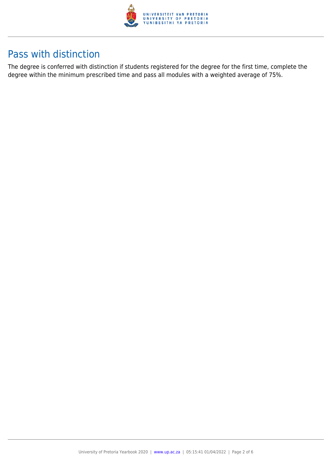

# Pass with distinction

The degree is conferred with distinction if students registered for the degree for the first time, complete the degree within the minimum prescribed time and pass all modules with a weighted average of 75%.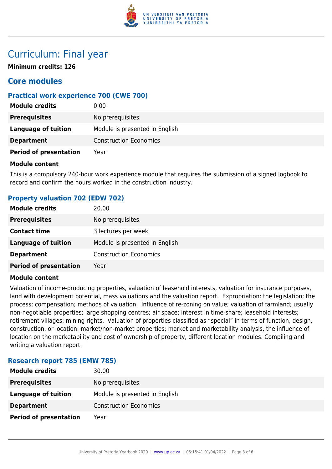

# Curriculum: Final year

**Minimum credits: 126**

# **Core modules**

# **Practical work experience 700 (CWE 700)**

| <b>Module credits</b>         | 0.00                           |
|-------------------------------|--------------------------------|
| <b>Prerequisites</b>          | No prerequisites.              |
| Language of tuition           | Module is presented in English |
| <b>Department</b>             | <b>Construction Economics</b>  |
| <b>Period of presentation</b> | Year                           |

#### **Module content**

This is a compulsory 240-hour work experience module that requires the submission of a signed logbook to record and confirm the hours worked in the construction industry.

### **Property valuation 702 (EDW 702)**

| <b>Module credits</b>         | 20.00                          |
|-------------------------------|--------------------------------|
| <b>Prerequisites</b>          | No prerequisites.              |
| <b>Contact time</b>           | 3 lectures per week            |
| <b>Language of tuition</b>    | Module is presented in English |
| <b>Department</b>             | <b>Construction Economics</b>  |
| <b>Period of presentation</b> | Year                           |

#### **Module content**

Valuation of income-producing properties, valuation of leasehold interests, valuation for insurance purposes, land with development potential, mass valuations and the valuation report. Expropriation: the legislation; the process; compensation; methods of valuation. Influence of re-zoning on value; valuation of farmland; usually non-negotiable properties; large shopping centres; air space; interest in time-share; leasehold interests; retirement villages; mining rights. Valuation of properties classified as "special" in terms of function, design, construction, or location: market/non-market properties; market and marketability analysis, the influence of location on the marketability and cost of ownership of property, different location modules. Compiling and writing a valuation report.

### **Research report 785 (EMW 785)**

| <b>Module credits</b>         | 30.00                          |
|-------------------------------|--------------------------------|
| <b>Prerequisites</b>          | No prerequisites.              |
| <b>Language of tuition</b>    | Module is presented in English |
| <b>Department</b>             | <b>Construction Economics</b>  |
| <b>Period of presentation</b> | Year                           |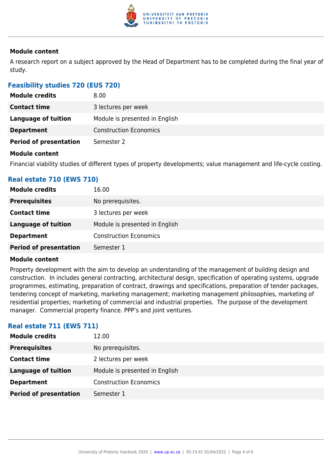

#### **Module content**

A research report on a subject approved by the Head of Department has to be completed during the final year of study.

# **Feasibility studies 720 (EUS 720)**

| <b>Module credits</b>                                                                                           | 8.00                           |
|-----------------------------------------------------------------------------------------------------------------|--------------------------------|
| <b>Contact time</b>                                                                                             | 3 lectures per week            |
| <b>Language of tuition</b>                                                                                      | Module is presented in English |
| <b>Department</b>                                                                                               | <b>Construction Economics</b>  |
| <b>Period of presentation</b>                                                                                   | Semester 2                     |
| <b>Administration of the control of the control of the control of the control of the control of the control</b> |                                |

#### **Module content**

Financial viability studies of different types of property developments; value management and life-cycle costing.

# **Real estate 710 (EWS 710)**

| <b>Module credits</b>         | 16.00                          |
|-------------------------------|--------------------------------|
| <b>Prerequisites</b>          | No prerequisites.              |
| <b>Contact time</b>           | 3 lectures per week            |
| <b>Language of tuition</b>    | Module is presented in English |
| <b>Department</b>             | <b>Construction Economics</b>  |
| <b>Period of presentation</b> | Semester 1                     |

#### **Module content**

Property development with the aim to develop an understanding of the management of building design and construction. In includes general contracting, architectural design, specification of operating systems, upgrade programmes, estimating, preparation of contract, drawings and specifications, preparation of tender packages, tendering concept of marketing, marketing management; marketing management philosophies, marketing of residential properties; marketing of commercial and industrial properties. The purpose of the development manager. Commercial property finance. PPP's and joint ventures.

### **Real estate 711 (EWS 711)**

| <b>Module credits</b>         | 12.00                          |
|-------------------------------|--------------------------------|
| <b>Prerequisites</b>          | No prerequisites.              |
| <b>Contact time</b>           | 2 lectures per week            |
| <b>Language of tuition</b>    | Module is presented in English |
| <b>Department</b>             | <b>Construction Economics</b>  |
| <b>Period of presentation</b> | Semester 1                     |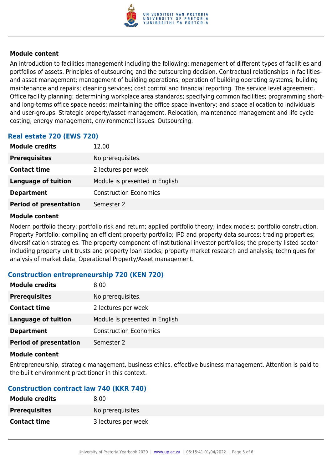

#### **Module content**

An introduction to facilities management including the following: management of different types of facilities and portfolios of assets. Principles of outsourcing and the outsourcing decision. Contractual relationships in facilitiesand asset management; management of building operations; operation of building operating systems; building maintenance and repairs; cleaning services; cost control and financial reporting. The service level agreement. Office facility planning: determining workplace area standards; specifying common facilities; programming shortand long-terms office space needs; maintaining the office space inventory; and space allocation to individuals and user-groups. Strategic property/asset management. Relocation, maintenance management and life cycle costing; energy management, environmental issues. Outsourcing.

# **Real estate 720 (EWS 720)**

| <b>Module credits</b>         | 12.00                          |
|-------------------------------|--------------------------------|
| <b>Prerequisites</b>          | No prerequisites.              |
| <b>Contact time</b>           | 2 lectures per week            |
| <b>Language of tuition</b>    | Module is presented in English |
| <b>Department</b>             | <b>Construction Economics</b>  |
| <b>Period of presentation</b> | Semester 2                     |

#### **Module content**

Modern portfolio theory: portfolio risk and return; applied portfolio theory; index models; portfolio construction. Property Portfolio: compiling an efficient property portfolio; IPD and property data sources; trading properties; diversification strategies. The property component of institutional investor portfolios; the property listed sector including property unit trusts and property loan stocks; property market research and analysis; techniques for analysis of market data. Operational Property/Asset management.

#### **Construction entrepreneurship 720 (KEN 720)**

| <b>Module credits</b>         | 8.00                           |
|-------------------------------|--------------------------------|
| <b>Prerequisites</b>          | No prerequisites.              |
| <b>Contact time</b>           | 2 lectures per week            |
| <b>Language of tuition</b>    | Module is presented in English |
| <b>Department</b>             | <b>Construction Economics</b>  |
| <b>Period of presentation</b> | Semester 2                     |

#### **Module content**

Entrepreneurship, strategic management, business ethics, effective business management. Attention is paid to the built environment practitioner in this context.

### **Construction contract law 740 (KKR 740)**

| <b>Module credits</b> | 8.00                |
|-----------------------|---------------------|
| <b>Prerequisites</b>  | No prerequisites.   |
| <b>Contact time</b>   | 3 lectures per week |